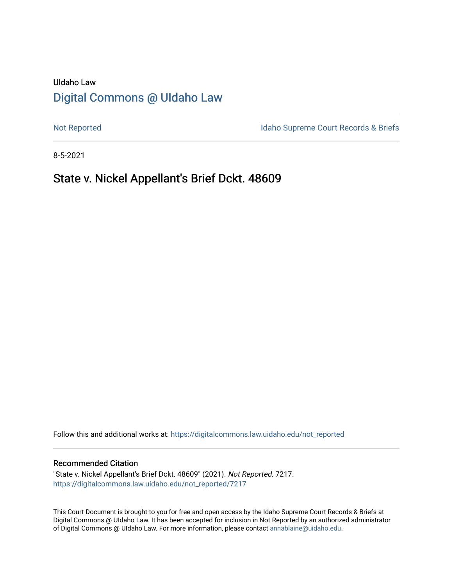# UIdaho Law [Digital Commons @ UIdaho Law](https://digitalcommons.law.uidaho.edu/)

[Not Reported](https://digitalcommons.law.uidaho.edu/not_reported) **Idaho Supreme Court Records & Briefs** 

8-5-2021

# State v. Nickel Appellant's Brief Dckt. 48609

Follow this and additional works at: [https://digitalcommons.law.uidaho.edu/not\\_reported](https://digitalcommons.law.uidaho.edu/not_reported?utm_source=digitalcommons.law.uidaho.edu%2Fnot_reported%2F7217&utm_medium=PDF&utm_campaign=PDFCoverPages) 

#### Recommended Citation

"State v. Nickel Appellant's Brief Dckt. 48609" (2021). Not Reported. 7217. [https://digitalcommons.law.uidaho.edu/not\\_reported/7217](https://digitalcommons.law.uidaho.edu/not_reported/7217?utm_source=digitalcommons.law.uidaho.edu%2Fnot_reported%2F7217&utm_medium=PDF&utm_campaign=PDFCoverPages)

This Court Document is brought to you for free and open access by the Idaho Supreme Court Records & Briefs at Digital Commons @ UIdaho Law. It has been accepted for inclusion in Not Reported by an authorized administrator of Digital Commons @ UIdaho Law. For more information, please contact [annablaine@uidaho.edu](mailto:annablaine@uidaho.edu).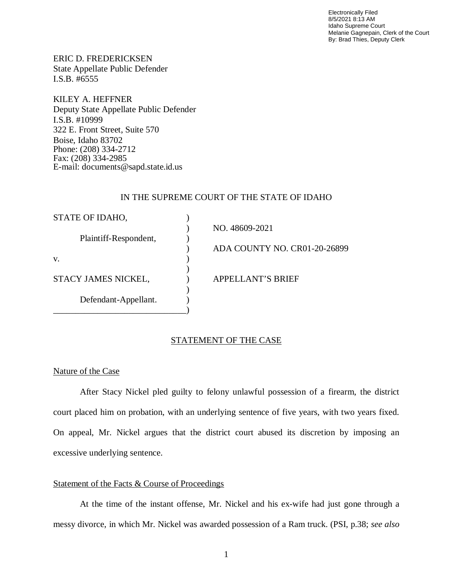Electronically Filed 8/5/2021 8:13 AM Idaho Supreme Court Melanie Gagnepain, Clerk of the Court By: Brad Thies, Deputy Clerk

ERIC D. FREDERICKSEN State Appellate Public Defender I.S.B. #6555

KILEY A. HEFFNER Deputy State Appellate Public Defender I.S.B. #10999 322 E. Front Street, Suite 570 Boise, Idaho 83702 Phone: (208) 334-2712 Fax: (208) 334-2985 E-mail: documents@sapd.state.id.us

### IN THE SUPREME COURT OF THE STATE OF IDAHO

| STATE OF IDAHO,       |                              |
|-----------------------|------------------------------|
|                       | NO. 48609-2021               |
| Plaintiff-Respondent, |                              |
|                       | ADA COUNTY NO. CR01-20-26899 |
| V.                    |                              |
|                       |                              |
| STACY JAMES NICKEL,   | <b>APPELLANT'S BRIEF</b>     |
|                       |                              |
| Defendant-Appellant.  |                              |
|                       |                              |

### STATEMENT OF THE CASE

### Nature of the Case

After Stacy Nickel pled guilty to felony unlawful possession of a firearm, the district court placed him on probation, with an underlying sentence of five years, with two years fixed. On appeal, Mr. Nickel argues that the district court abused its discretion by imposing an excessive underlying sentence.

### Statement of the Facts & Course of Proceedings

At the time of the instant offense, Mr. Nickel and his ex-wife had just gone through a messy divorce, in which Mr. Nickel was awarded possession of a Ram truck. (PSI, p.38; *see also*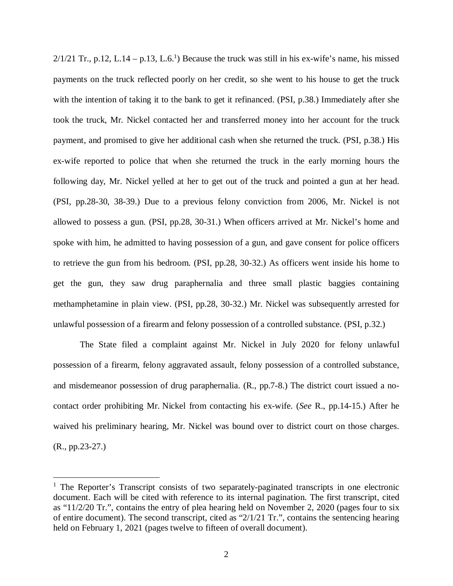$2/1/21$  $2/1/21$  $2/1/21$  Tr., p.12, L.14 – p.13, L.6.<sup>1</sup>) Because the truck was still in his ex-wife's name, his missed payments on the truck reflected poorly on her credit, so she went to his house to get the truck with the intention of taking it to the bank to get it refinanced. (PSI, p.38.) Immediately after she took the truck, Mr. Nickel contacted her and transferred money into her account for the truck payment, and promised to give her additional cash when she returned the truck. (PSI, p.38.) His ex-wife reported to police that when she returned the truck in the early morning hours the following day, Mr. Nickel yelled at her to get out of the truck and pointed a gun at her head. (PSI, pp.28-30, 38-39.) Due to a previous felony conviction from 2006, Mr. Nickel is not allowed to possess a gun. (PSI, pp.28, 30-31.) When officers arrived at Mr. Nickel's home and spoke with him, he admitted to having possession of a gun, and gave consent for police officers to retrieve the gun from his bedroom. (PSI, pp.28, 30-32.) As officers went inside his home to get the gun, they saw drug paraphernalia and three small plastic baggies containing methamphetamine in plain view. (PSI, pp.28, 30-32.) Mr. Nickel was subsequently arrested for unlawful possession of a firearm and felony possession of a controlled substance. (PSI, p.32.)

The State filed a complaint against Mr. Nickel in July 2020 for felony unlawful possession of a firearm, felony aggravated assault, felony possession of a controlled substance, and misdemeanor possession of drug paraphernalia. (R., pp.7-8.) The district court issued a nocontact order prohibiting Mr. Nickel from contacting his ex-wife. (*See* R., pp.14-15.) After he waived his preliminary hearing, Mr. Nickel was bound over to district court on those charges. (R., pp.23-27.)

<span id="page-2-0"></span><sup>&</sup>lt;sup>1</sup> The Reporter's Transcript consists of two separately-paginated transcripts in one electronic document. Each will be cited with reference to its internal pagination. The first transcript, cited as "11/2/20 Tr.", contains the entry of plea hearing held on November 2, 2020 (pages four to six of entire document). The second transcript, cited as "2/1/21 Tr.", contains the sentencing hearing held on February 1, 2021 (pages twelve to fifteen of overall document).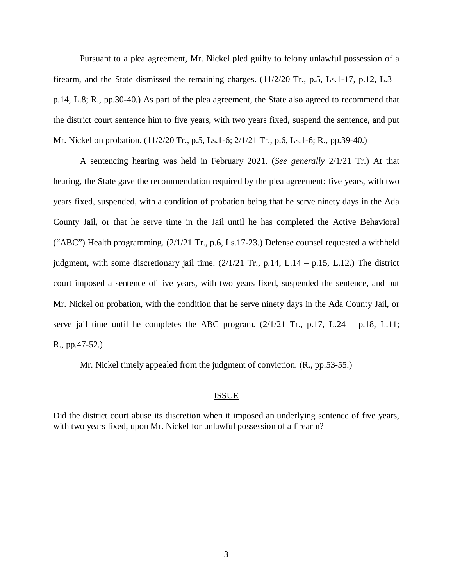Pursuant to a plea agreement, Mr. Nickel pled guilty to felony unlawful possession of a firearm, and the State dismissed the remaining charges.  $(11/2/20 \text{ Tr}, p.5, Ls.1-17, p.12, L.3$ p.14, L.8; R., pp.30-40.) As part of the plea agreement, the State also agreed to recommend that the district court sentence him to five years, with two years fixed, suspend the sentence, and put Mr. Nickel on probation. (11/2/20 Tr., p.5, Ls.1-6; 2/1/21 Tr., p.6, Ls.1-6; R., pp.39-40.)

A sentencing hearing was held in February 2021. (*See generally* 2/1/21 Tr.) At that hearing, the State gave the recommendation required by the plea agreement: five years, with two years fixed, suspended, with a condition of probation being that he serve ninety days in the Ada County Jail, or that he serve time in the Jail until he has completed the Active Behavioral ("ABC") Health programming. (2/1/21 Tr., p.6, Ls.17-23.) Defense counsel requested a withheld judgment, with some discretionary jail time.  $(2/1/21 \text{ Tr.}, \text{p.14}, \text{L.14} - \text{p.15}, \text{L.12})$  The district court imposed a sentence of five years, with two years fixed, suspended the sentence, and put Mr. Nickel on probation, with the condition that he serve ninety days in the Ada County Jail, or serve jail time until he completes the ABC program.  $(2/1/21)$  Tr., p.17, L.24 – p.18, L.11; R., pp.47-52.)

Mr. Nickel timely appealed from the judgment of conviction. (R., pp.53-55.)

#### ISSUE

Did the district court abuse its discretion when it imposed an underlying sentence of five years, with two years fixed, upon Mr. Nickel for unlawful possession of a firearm?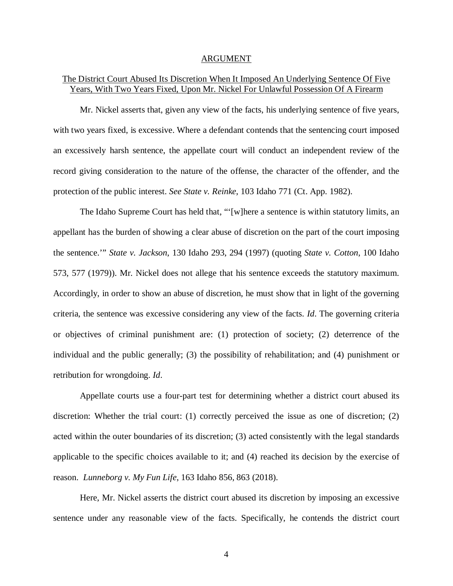#### ARGUMENT

## The District Court Abused Its Discretion When It Imposed An Underlying Sentence Of Five Years, With Two Years Fixed, Upon Mr. Nickel For Unlawful Possession Of A Firearm

Mr. Nickel asserts that, given any view of the facts, his underlying sentence of five years, with two years fixed, is excessive. Where a defendant contends that the sentencing court imposed an excessively harsh sentence, the appellate court will conduct an independent review of the record giving consideration to the nature of the offense, the character of the offender, and the protection of the public interest. *See State v. Reinke*, 103 Idaho 771 (Ct. App. 1982).

The Idaho Supreme Court has held that, "'[w]here a sentence is within statutory limits, an appellant has the burden of showing a clear abuse of discretion on the part of the court imposing the sentence.'" *State v. Jackson*, 130 Idaho 293, 294 (1997) (quoting *State v. Cotton*, 100 Idaho 573, 577 (1979)). Mr. Nickel does not allege that his sentence exceeds the statutory maximum. Accordingly, in order to show an abuse of discretion, he must show that in light of the governing criteria, the sentence was excessive considering any view of the facts. *Id*. The governing criteria or objectives of criminal punishment are: (1) protection of society; (2) deterrence of the individual and the public generally; (3) the possibility of rehabilitation; and (4) punishment or retribution for wrongdoing. *Id*.

Appellate courts use a four-part test for determining whether a district court abused its discretion: Whether the trial court: (1) correctly perceived the issue as one of discretion; (2) acted within the outer boundaries of its discretion; (3) acted consistently with the legal standards applicable to the specific choices available to it; and (4) reached its decision by the exercise of reason. *Lunneborg v. My Fun Life*, 163 Idaho 856, 863 (2018).

Here, Mr. Nickel asserts the district court abused its discretion by imposing an excessive sentence under any reasonable view of the facts. Specifically, he contends the district court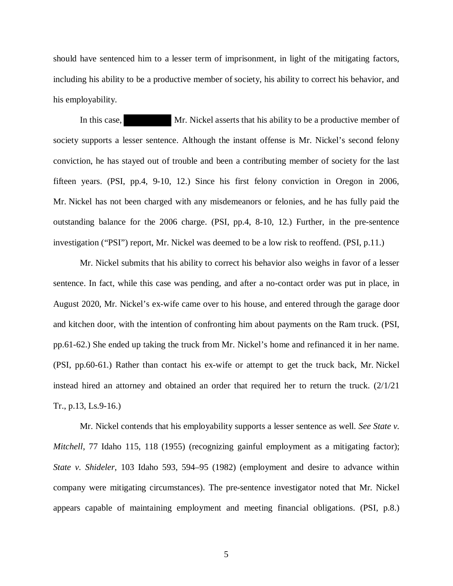should have sentenced him to a lesser term of imprisonment, in light of the mitigating factors, including his ability to be a productive member of society, his ability to correct his behavior, and his employability.

In this case, Mr. Nickel asserts that his ability to be a productive member of society supports a lesser sentence. Although the instant offense is Mr. Nickel's second felony conviction, he has stayed out of trouble and been a contributing member of society for the last fifteen years. (PSI, pp.4, 9-10, 12.) Since his first felony conviction in Oregon in 2006, Mr. Nickel has not been charged with any misdemeanors or felonies, and he has fully paid the outstanding balance for the 2006 charge. (PSI, pp.4, 8-10, 12.) Further, in the pre-sentence investigation ("PSI") report, Mr. Nickel was deemed to be a low risk to reoffend. (PSI, p.11.)

Mr. Nickel submits that his ability to correct his behavior also weighs in favor of a lesser sentence. In fact, while this case was pending, and after a no-contact order was put in place, in August 2020, Mr. Nickel's ex-wife came over to his house, and entered through the garage door and kitchen door, with the intention of confronting him about payments on the Ram truck. (PSI, pp.61-62.) She ended up taking the truck from Mr. Nickel's home and refinanced it in her name. (PSI, pp.60-61.) Rather than contact his ex-wife or attempt to get the truck back, Mr. Nickel instead hired an attorney and obtained an order that required her to return the truck. (2/1/21 Tr., p.13, Ls.9-16.)

Mr. Nickel contends that his employability supports a lesser sentence as well. *See State v. Mitchell*, 77 Idaho 115, 118 (1955) (recognizing gainful employment as a mitigating factor); *State v. Shideler*, 103 Idaho 593, 594–95 (1982) (employment and desire to advance within company were mitigating circumstances). The pre-sentence investigator noted that Mr. Nickel appears capable of maintaining employment and meeting financial obligations. (PSI, p.8.)

5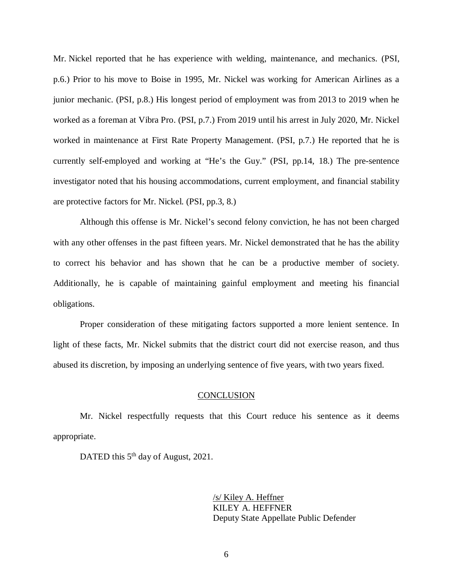Mr. Nickel reported that he has experience with welding, maintenance, and mechanics. (PSI, p.6.) Prior to his move to Boise in 1995, Mr. Nickel was working for American Airlines as a junior mechanic. (PSI, p.8.) His longest period of employment was from 2013 to 2019 when he worked as a foreman at Vibra Pro. (PSI, p.7.) From 2019 until his arrest in July 2020, Mr. Nickel worked in maintenance at First Rate Property Management. (PSI, p.7.) He reported that he is currently self-employed and working at "He's the Guy." (PSI, pp.14, 18.) The pre-sentence investigator noted that his housing accommodations, current employment, and financial stability are protective factors for Mr. Nickel. (PSI, pp.3, 8.)

Although this offense is Mr. Nickel's second felony conviction, he has not been charged with any other offenses in the past fifteen years. Mr. Nickel demonstrated that he has the ability to correct his behavior and has shown that he can be a productive member of society. Additionally, he is capable of maintaining gainful employment and meeting his financial obligations.

Proper consideration of these mitigating factors supported a more lenient sentence. In light of these facts, Mr. Nickel submits that the district court did not exercise reason, and thus abused its discretion, by imposing an underlying sentence of five years, with two years fixed.

#### **CONCLUSION**

Mr. Nickel respectfully requests that this Court reduce his sentence as it deems appropriate.

DATED this 5<sup>th</sup> day of August, 2021.

/s/ Kiley A. Heffner KILEY A. HEFFNER Deputy State Appellate Public Defender

6